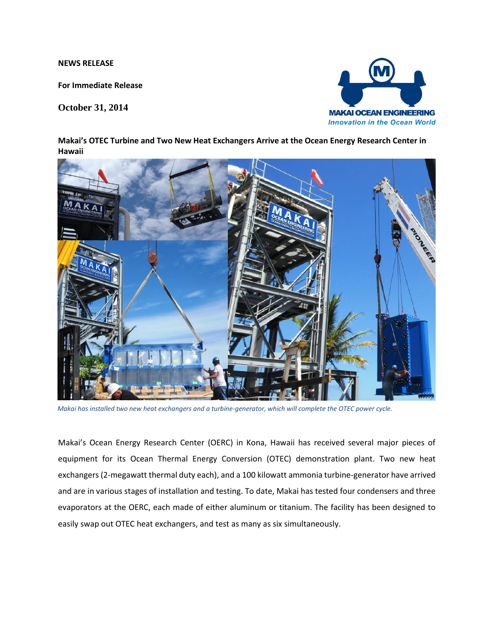**NEWS RELEASE** 

**For Immediate Release**

**October 31, 2014**



**Makai's OTEC Turbine and Two New Heat Exchangers Arrive at the Ocean Energy Research Center in Hawaii**



*Makai has installed two new heat exchangers and a turbine-generator, which will complete the OTEC power cycle.*

Makai's Ocean Energy Research Center (OERC) in Kona, Hawaii has received several major pieces of equipment for its Ocean Thermal Energy Conversion (OTEC) demonstration plant. Two new heat exchangers (2-megawatt thermal duty each), and a 100 kilowatt ammonia turbine-generator have arrived and are in various stages of installation and testing. To date, Makai has tested four condensers and three evaporators at the OERC, each made of either aluminum or titanium. The facility has been designed to easily swap out OTEC heat exchangers, and test as many as six simultaneously.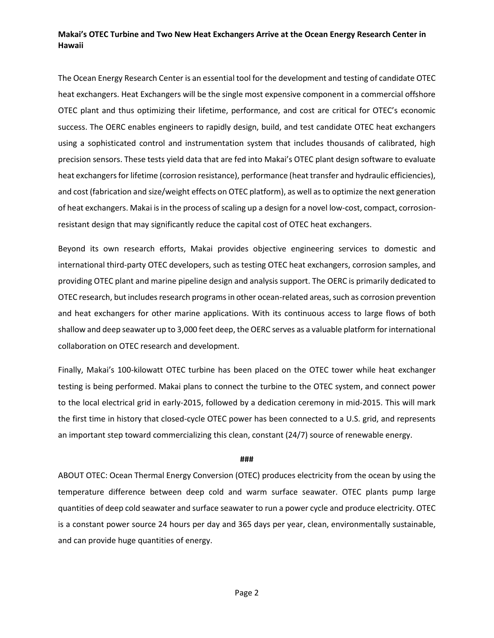## **Makai's OTEC Turbine and Two New Heat Exchangers Arrive at the Ocean Energy Research Center in Hawaii**

The Ocean Energy Research Center is an essential tool for the development and testing of candidate OTEC heat exchangers. Heat Exchangers will be the single most expensive component in a commercial offshore OTEC plant and thus optimizing their lifetime, performance, and cost are critical for OTEC's economic success. The OERC enables engineers to rapidly design, build, and test candidate OTEC heat exchangers using a sophisticated control and instrumentation system that includes thousands of calibrated, high precision sensors. These tests yield data that are fed into Makai's OTEC plant design software to evaluate heat exchangers for lifetime (corrosion resistance), performance (heat transfer and hydraulic efficiencies), and cost (fabrication and size/weight effects on OTEC platform), as well as to optimize the next generation of heat exchangers. Makai is in the process of scaling up a design for a novel low-cost, compact, corrosionresistant design that may significantly reduce the capital cost of OTEC heat exchangers.

Beyond its own research efforts, Makai provides objective engineering services to domestic and international third-party OTEC developers, such as testing OTEC heat exchangers, corrosion samples, and providing OTEC plant and marine pipeline design and analysis support. The OERC is primarily dedicated to OTEC research, but includes research programs in other ocean-related areas, such as corrosion prevention and heat exchangers for other marine applications. With its continuous access to large flows of both shallow and deep seawater up to 3,000 feet deep, the OERC serves as a valuable platform for international collaboration on OTEC research and development.

Finally, Makai's 100-kilowatt OTEC turbine has been placed on the OTEC tower while heat exchanger testing is being performed. Makai plans to connect the turbine to the OTEC system, and connect power to the local electrical grid in early-2015, followed by a dedication ceremony in mid-2015. This will mark the first time in history that closed-cycle OTEC power has been connected to a U.S. grid, and represents an important step toward commercializing this clean, constant (24/7) source of renewable energy.

## **###**

ABOUT OTEC: Ocean Thermal Energy Conversion (OTEC) produces electricity from the ocean by using the temperature difference between deep cold and warm surface seawater. OTEC plants pump large quantities of deep cold seawater and surface seawater to run a power cycle and produce electricity. OTEC is a constant power source 24 hours per day and 365 days per year, clean, environmentally sustainable, and can provide huge quantities of energy.